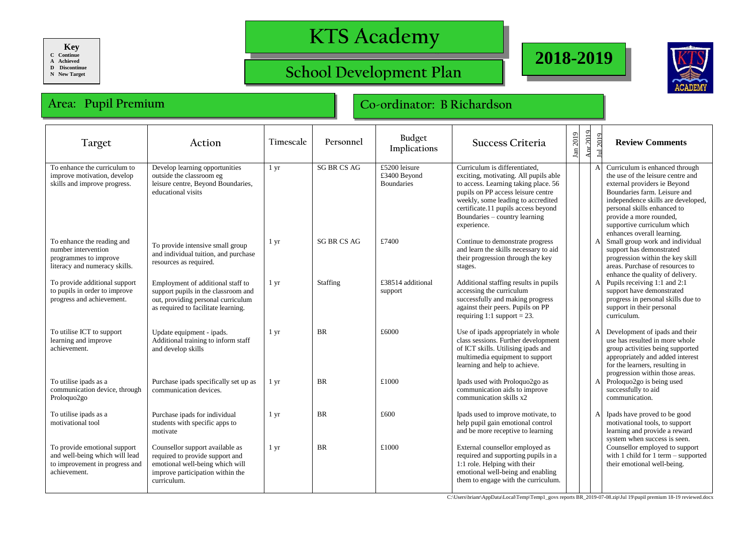**Key**

**C Continue A Achieved**

**D Discontinue**

**N New Target**

## **KTS Academy**

## **School Development Plan**





## **Area: Pupil Premium Co-ordinator: B Richardson**

| Target                                                                                                           | Action                                                                                                                                                   | Timescale        | Personnel          | Budget<br>Implications                             | Success Criteria                                                                                                                                                                                                                                                                  | 2019<br>$\mathbf{I}$ an | $\Delta$ pr 2019 | 12019                                                                                                                                                                  | <b>Review Comments</b>                                                                                                                                                                                                                                                                           |
|------------------------------------------------------------------------------------------------------------------|----------------------------------------------------------------------------------------------------------------------------------------------------------|------------------|--------------------|----------------------------------------------------|-----------------------------------------------------------------------------------------------------------------------------------------------------------------------------------------------------------------------------------------------------------------------------------|-------------------------|------------------|------------------------------------------------------------------------------------------------------------------------------------------------------------------------|--------------------------------------------------------------------------------------------------------------------------------------------------------------------------------------------------------------------------------------------------------------------------------------------------|
| To enhance the curriculum to<br>improve motivation, develop<br>skills and improve progress.                      | Develop learning opportunities<br>outside the classroom eg<br>leisure centre, Beyond Boundaries,<br>educational visits                                   | $1 \, \text{yr}$ | <b>SG BR CS AG</b> | £5200 leisure<br>£3400 Beyond<br><b>Boundaries</b> | Curriculum is differentiated.<br>exciting, motivating. All pupils able<br>to access. Learning taking place. 56<br>pupils on PP access leisure centre<br>weekly, some leading to accredited<br>certificate.11 pupils access beyond<br>Boundaries - country learning<br>experience. |                         |                  |                                                                                                                                                                        | Curriculum is enhanced through<br>the use of the leisure centre and<br>external providers ie Beyond<br>Boundaries farm. Leisure and<br>independence skills are developed,<br>personal skills enhanced to<br>provide a more rounded,<br>supportive curriculum which<br>enhances overall learning. |
| To enhance the reading and<br>number intervention<br>programmes to improve<br>literacy and numeracy skills.      | To provide intensive small group<br>and individual tuition, and purchase<br>resources as required.                                                       | $1 \, yr$        | <b>SG BR CS AG</b> | £7400                                              | Continue to demonstrate progress<br>and learn the skills necessary to aid<br>their progression through the key<br>stages.                                                                                                                                                         |                         |                  | Small group work and individual<br>support has demonstrated<br>progression within the key skill<br>areas. Purchase of resources to<br>enhance the quality of delivery. |                                                                                                                                                                                                                                                                                                  |
| To provide additional support<br>to pupils in order to improve<br>progress and achievement.                      | Employment of additional staff to<br>support pupils in the classroom and<br>out, providing personal curriculum<br>as required to facilitate learning.    | $1 \, yr$        | Staffing           | £38514 additional<br>support                       | Additional staffing results in pupils<br>accessing the curriculum<br>successfully and making progress<br>against their peers. Pupils on PP<br>requiring 1:1 support = 23.                                                                                                         |                         |                  |                                                                                                                                                                        | Pupils receiving 1:1 and 2:1<br>support have demonstrated<br>progress in personal skills due to<br>support in their personal<br>curriculum.                                                                                                                                                      |
| To utilise ICT to support<br>learning and improve<br>achievement.                                                | Update equipment - ipads.<br>Additional training to inform staff<br>and develop skills                                                                   | $1 \, yr$        | <b>BR</b>          | £6000                                              | Use of ipads appropriately in whole<br>class sessions. Further development<br>of ICT skills. Utilising ipads and<br>multimedia equipment to support<br>learning and help to achieve.                                                                                              |                         |                  |                                                                                                                                                                        | Development of ipads and their<br>use has resulted in more whole<br>group activities being supported<br>appropriately and added interest<br>for the learners, resulting in<br>progression within those areas.                                                                                    |
| To utilise ipads as a<br>communication device, through<br>Proloquo2go                                            | Purchase ipads specifically set up as<br>communication devices.                                                                                          | $1 \, yr$        | <b>BR</b>          | £1000                                              | Ipads used with Proloquo2go as<br>communication aids to improve<br>communication skills x2                                                                                                                                                                                        |                         |                  |                                                                                                                                                                        | Proloquo2go is being used<br>successfully to aid<br>communication.                                                                                                                                                                                                                               |
| To utilise ipads as a<br>motivational tool                                                                       | Purchase ipads for individual<br>students with specific apps to<br>motivate                                                                              | $1 \mathrm{yr}$  | <b>BR</b>          | £600                                               | Ipads used to improve motivate, to<br>help pupil gain emotional control<br>and be more receptive to learning                                                                                                                                                                      |                         |                  |                                                                                                                                                                        | Ipads have proved to be good<br>motivational tools, to support<br>learning and provide a reward<br>system when success is seen.                                                                                                                                                                  |
| To provide emotional support<br>and well-being which will lead<br>to improvement in progress and<br>achievement. | Counsellor support available as<br>required to provide support and<br>emotional well-being which will<br>improve participation within the<br>curriculum. | $1 \, yr$        | <b>BR</b>          | £1000                                              | External counsellor employed as<br>required and supporting pupils in a<br>1:1 role. Helping with their<br>emotional well-being and enabling<br>them to engage with the curriculum.                                                                                                |                         |                  |                                                                                                                                                                        | Counsellor employed to support<br>with 1 child for 1 term $-$ supported<br>their emotional well-being.                                                                                                                                                                                           |

C:\Users\brianr\AppData\Local\Temp\Temp1\_govs reports BR\_2019-07-08.zip\Jul 19\pupil premium 18-19 reviewed.docx